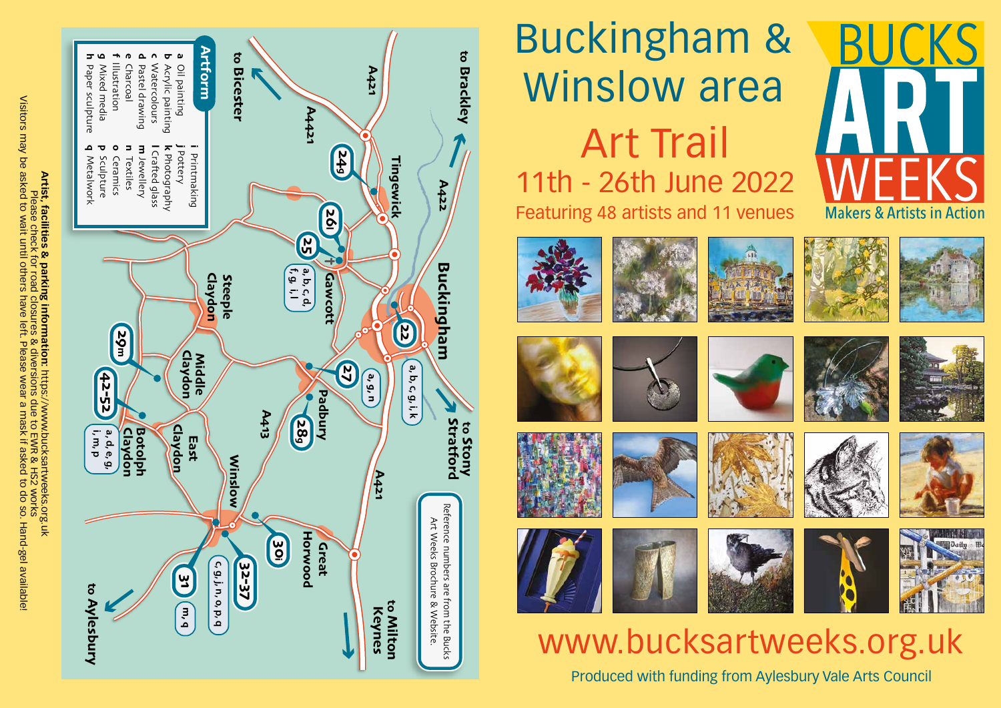

Visitors may be asked to wait until others have left. Please wear a mask if asked to do so. Hand-gel available!

# Buckingham & Winslow area Art Trail 11th - 26th June 2022 Featuring 48 artists and 11 venues



















## www.bucksartweeks.org.uk

Produced with funding from Aylesbury Vale Arts Council